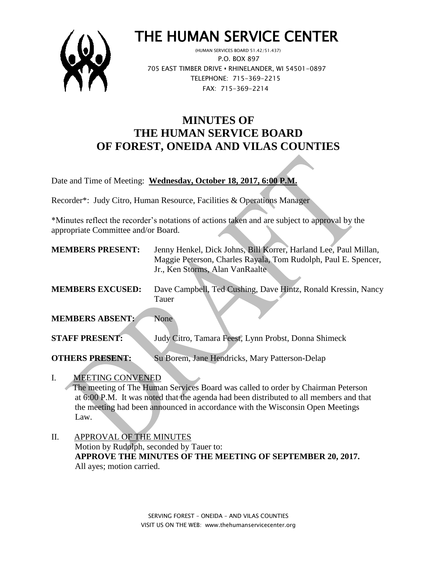

# THE HUMAN SERVICE CENTER

 (HUMAN SERVICES BOARD 51.42/51.437) P.O. BOX 897 705 EAST TIMBER DRIVE **•** RHINELANDER, WI 54501-0897 TELEPHONE: 715-369-2215 FAX: 715-369-2214

# **MINUTES OF THE HUMAN SERVICE BOARD OF FOREST, ONEIDA AND VILAS COUNTIES**

Date and Time of Meeting: **Wednesday, October 18, 2017, 6:00 P.M.**

Recorder\*: Judy Citro, Human Resource, Facilities & Operations Manager

\*Minutes reflect the recorder's notations of actions taken and are subject to approval by the appropriate Committee and/or Board.

| <b>MEMBERS PRESENT:</b> | Jenny Henkel, Dick Johns, Bill Korrer, Harland Lee, Paul Millan, |
|-------------------------|------------------------------------------------------------------|
|                         | Maggie Peterson, Charles Rayala, Tom Rudolph, Paul E. Spencer,   |
|                         | Jr., Ken Storms, Alan VanRaalte                                  |
|                         |                                                                  |
| <b>MEMBERS EXCUSED:</b> | Dave Campbell, Ted Cushing, Dave Hintz, Ronald Kressin, Nancy    |
|                         | Tauer                                                            |
|                         |                                                                  |
| <b>MEMBERS ABSENT:</b>  | None                                                             |
|                         |                                                                  |
| <b>STAFF PRESENT:</b>   | Judy Citro, Tamara Feest, Lynn Probst, Donna Shimeck             |
|                         |                                                                  |
| <b>OTHERS PRESENT:</b>  | Su Borem, Jane Hendricks, Mary Patterson-Delap                   |

# I. MEETING CONVENED

 The meeting of The Human Services Board was called to order by Chairman Peterson at 6:00 P.M. It was noted that the agenda had been distributed to all members and that the meeting had been announced in accordance with the Wisconsin Open Meetings Law.

II. APPROVAL OF THE MINUTES Motion by Rudolph, seconded by Tauer to: **APPROVE THE MINUTES OF THE MEETING OF SEPTEMBER 20, 2017.**  All ayes; motion carried.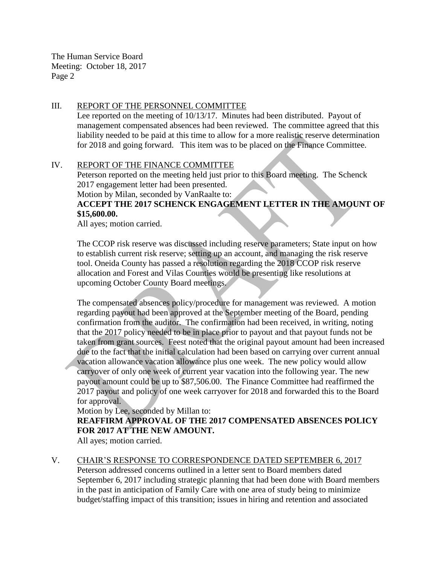The Human Service Board Meeting: October 18, 2017 Page 2

### III. REPORT OF THE PERSONNEL COMMITTEE

Lee reported on the meeting of 10/13/17. Minutes had been distributed. Payout of management compensated absences had been reviewed. The committee agreed that this liability needed to be paid at this time to allow for a more realistic reserve determination for 2018 and going forward. This item was to be placed on the Finance Committee.

## IV. REPORT OF THE FINANCE COMMITTEE

Peterson reported on the meeting held just prior to this Board meeting. The Schenck 2017 engagement letter had been presented.

Motion by Milan, seconded by VanRaalte to:

# **ACCEPT THE 2017 SCHENCK ENGAGEMENT LETTER IN THE AMOUNT OF \$15,600.00.**

All ayes; motion carried.

The CCOP risk reserve was discussed including reserve parameters; State input on how to establish current risk reserve; setting up an account, and managing the risk reserve tool. Oneida County has passed a resolution regarding the 2018 CCOP risk reserve allocation and Forest and Vilas Counties would be presenting like resolutions at upcoming October County Board meetings.

The compensated absences policy/procedure for management was reviewed. A motion regarding payout had been approved at the September meeting of the Board, pending confirmation from the auditor. The confirmation had been received, in writing, noting that the 2017 policy needed to be in place prior to payout and that payout funds not be taken from grant sources. Feest noted that the original payout amount had been increased due to the fact that the initial calculation had been based on carrying over current annual vacation allowance vacation allowance plus one week. The new policy would allow carryover of only one week of current year vacation into the following year. The new payout amount could be up to \$87,506.00. The Finance Committee had reaffirmed the 2017 payout and policy of one week carryover for 2018 and forwarded this to the Board for approval.

Motion by Lee, seconded by Millan to:

# **REAFFIRM APPROVAL OF THE 2017 COMPENSATED ABSENCES POLICY FOR 2017 AT THE NEW AMOUNT.**

All ayes; motion carried.

#### V. CHAIR'S RESPONSE TO CORRESPONDENCE DATED SEPTEMBER 6, 2017

Peterson addressed concerns outlined in a letter sent to Board members dated September 6, 2017 including strategic planning that had been done with Board members in the past in anticipation of Family Care with one area of study being to minimize budget/staffing impact of this transition; issues in hiring and retention and associated